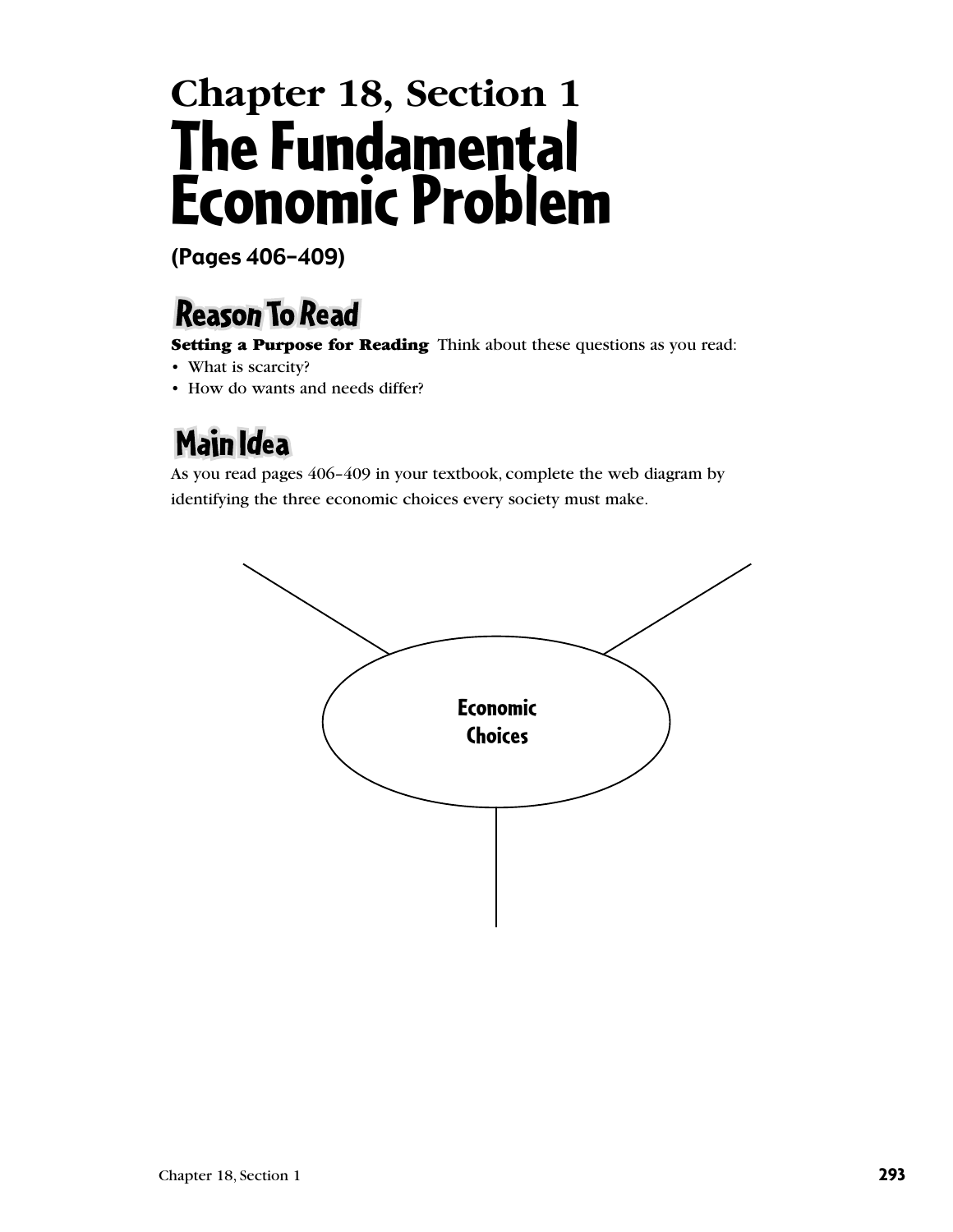## **Chapter 18, Section 1** The Fundamental Economic Problem

(Pages 406–409)

## **Reason To Read**

**Setting a Purpose for Reading** Think about these questions as you read:

- What is scarcity?
- How do wants and needs differ?

## Main Idea

As you read pages 406–409 in your textbook, complete the web diagram by identifying the three economic choices every society must make.

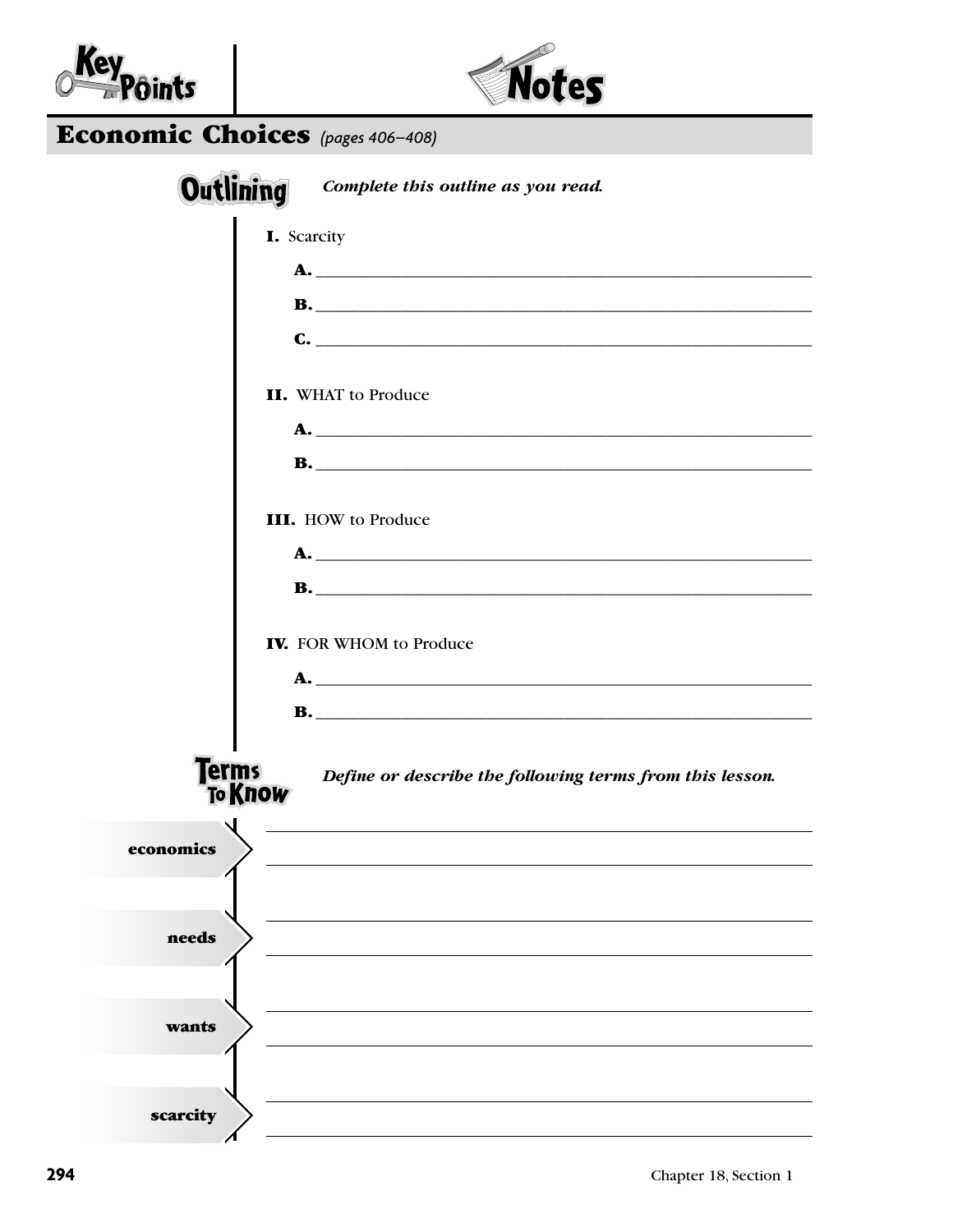



| <b>Economic Choices</b> (pages 406-408) |  |  |
|-----------------------------------------|--|--|
|-----------------------------------------|--|--|

| <b>Outlining</b><br>Complete this outline as you read.                                     |
|--------------------------------------------------------------------------------------------|
| I. Scarcity                                                                                |
|                                                                                            |
|                                                                                            |
| $\mathbf{C}$ . $\qquad \qquad$                                                             |
| <b>II.</b> WHAT to Produce                                                                 |
|                                                                                            |
|                                                                                            |
| <b>III.</b> HOW to Produce                                                                 |
|                                                                                            |
|                                                                                            |
| <b>IV.</b> FOR WHOM to Produce                                                             |
|                                                                                            |
|                                                                                            |
| <b>Terms</b><br>Define or describe the following terms from this lesson.<br><b>To Know</b> |
| economics                                                                                  |
|                                                                                            |
| needs                                                                                      |
|                                                                                            |
| wants                                                                                      |
|                                                                                            |
| scarcity                                                                                   |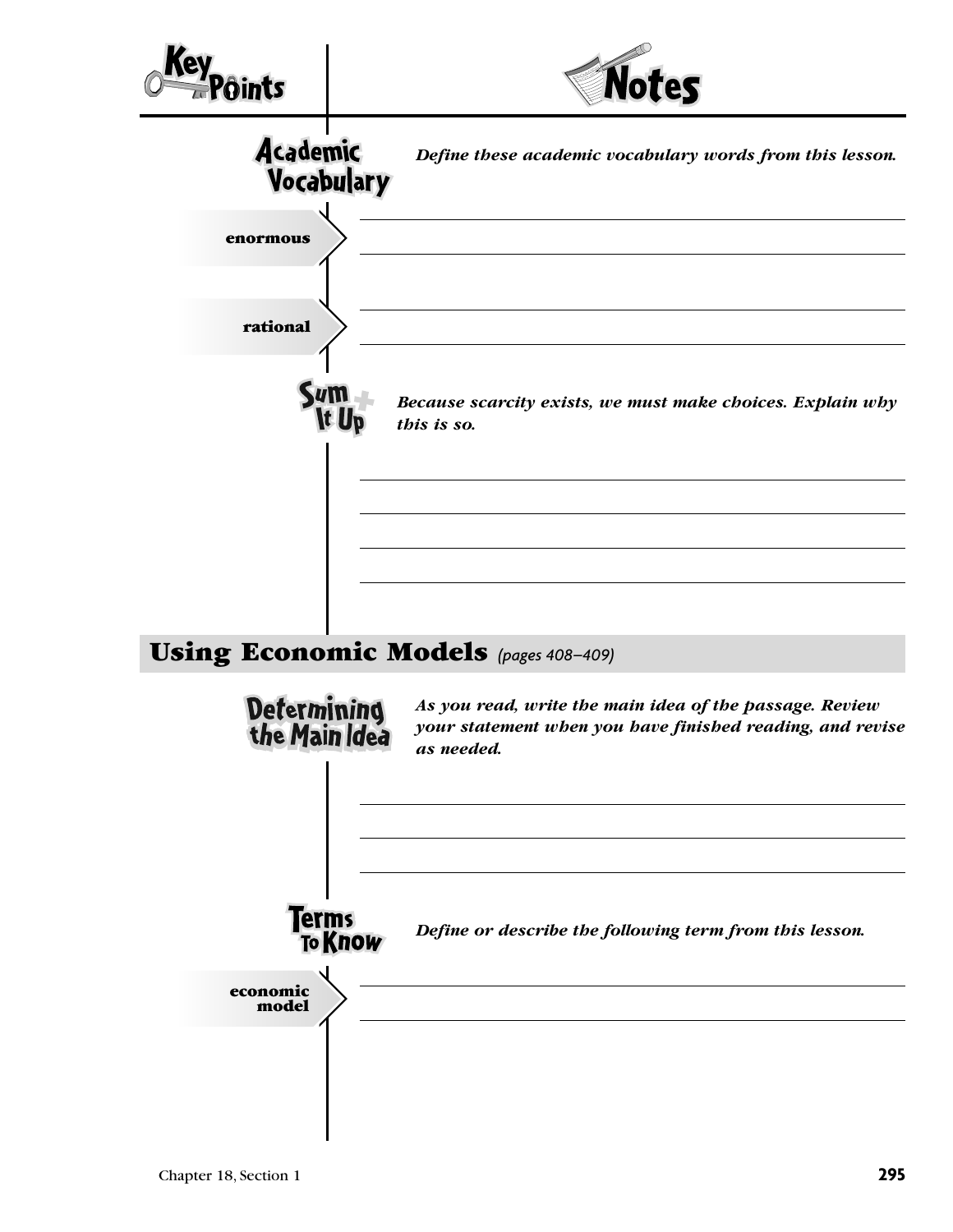